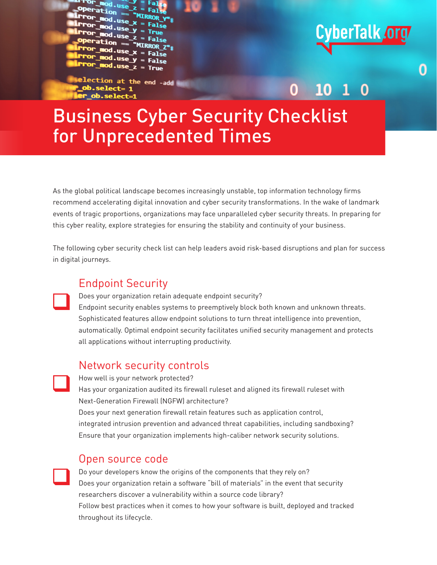-USA **False** 

lection at the end -add

# CyberTalk org

O

0

O

## Business Cyber Security Checklist for Unprecedented Times

As the global political landscape becomes increasingly unstable, top information technology firms recommend accelerating digital innovation and cyber security transformations. In the wake of landmark events of tragic proportions, organizations may face unparalleled cyber security threats. In preparing for this cyber reality, explore strategies for ensuring the stability and continuity of your business.

The following cyber security check list can help leaders avoid risk-based disruptions and plan for success in digital journeys.

#### Endpoint Security

Does your organization retain adequate endpoint security? Endpoint security enables systems to preemptively block both known and unknown threats. Sophisticated features allow endpoint solutions to turn threat intelligence into prevention, automatically. Optimal endpoint security facilitates unified security management and protects all applications without interrupting productivity.  $\Box$ 

### Network security controls

How well is your network protected? Has your organization audited its firewall ruleset and aligned its firewall ruleset with Next-Generation Firewall (NGFW) architecture? Does your next generation firewall retain features such as application control, integrated intrusion prevention and advanced threat capabilities, including sandboxing? Ensure that your organization implements high-caliber network security solutions.  $\Box$ 

#### Open source code

 $\Box$ 

Do your developers know the origins of the components that they rely on? Does your organization retain a software "bill of materials" in the event that security researchers discover a vulnerability within a source code library? Follow best practices when it comes to how your software is built, deployed and tracked throughout its lifecycle.